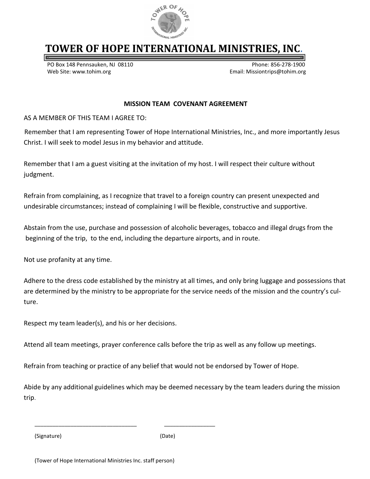

## **TOWER OF HOPE INTERNATIONAL MINISTRIES, INC.**

PO Box 148 Pennsauken, NJ 08110 entitled and the state of Phone: 856-278-1900 Web Site: www.tohim.org example and the state of the state of the Site: www.tohim.org example and the state of the Site of the Site of the Site of the Site of the Site of the Site of the Site of the Site of the Site of the

#### **MISSION TEAM COVENANT AGREEMENT**

AS A MEMBER OF THIS TEAM I AGREE TO:

Remember that I am representing Tower of Hope International Ministries, Inc., and more importantly Jesus Christ. I will seek to model Jesus in my behavior and attitude.

Remember that I am a guest visiting at the invitation of my host. I will respect their culture without judgment.

Refrain from complaining, as I recognize that travel to a foreign country can present unexpected and undesirable circumstances; instead of complaining I will be flexible, constructive and supportive.

Abstain from the use, purchase and possession of alcoholic beverages, tobacco and illegal drugs from the beginning of the trip, to the end, including the departure airports, and in route.

Not use profanity at any time.

Adhere to the dress code established by the ministry at all times, and only bring luggage and possessions that are determined by the ministry to be appropriate for the service needs of the mission and the country's culture.

Respect my team leader(s), and his or her decisions.

Attend all team meetings, prayer conference calls before the trip as well as any follow up meetings.

Refrain from teaching or practice of any belief that would not be endorsed by Tower of Hope.

Abide by any additional guidelines which may be deemed necessary by the team leaders during the mission trip.

(Signature) (Date)

\_\_\_\_\_\_\_\_\_\_\_\_\_\_\_\_\_\_\_\_\_\_\_\_\_\_\_\_\_\_\_\_\_\_ \_\_\_\_\_\_\_\_\_\_\_\_\_\_\_\_\_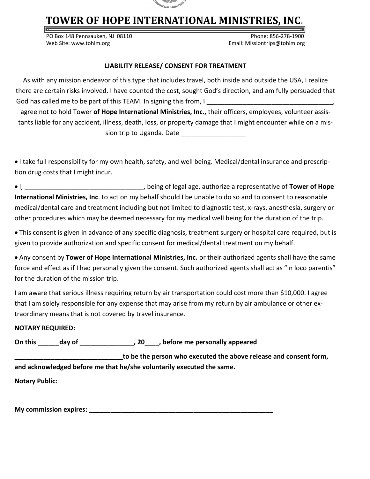

# **TOWER OF HOPE INTERNATIONAL MINISTRIES, INC.**

PO Box 148 Pennsauken, NJ 08110 Phone: 856-278-1900 Web Site: www.tohim.org Email: Missiontrips@tohim.org

#### **LIABILITY RELEASE/ CONSENT FOR TREATMENT**

As with any mission endeavor of this type that includes travel, both inside and outside the USA, I realize there are certain risks involved. I have counted the cost, sought God's direction, and am fully persuaded that God has called me to be part of this TEAM. In signing this from, I agree not to hold Tower **of Hope International Ministries, Inc.,** their officers, employees, volunteer assistants liable for any accident, illness, death, loss, or property damage that I might encounter while on a mission trip to Uganda. Date

 I take full responsibility for my own health, safety, and well being. Medical/dental insurance and prescription drug costs that I might incur.

 I, \_\_\_\_\_\_\_\_\_\_\_\_\_\_\_\_\_\_\_\_\_\_\_\_\_\_\_\_\_\_\_\_\_, being of legal age, authorize a representative of **Tower of Hope International Ministries, Inc**. to act on my behalf should I be unable to do so and to consent to reasonable medical/dental care and treatment including but not limited to diagnostic test, x-rays, anesthesia, surgery or other procedures which may be deemed necessary for my medical well being for the duration of the trip.

 This consent is given in advance of any specific diagnosis, treatment surgery or hospital care required, but is given to provide authorization and specific consent for medical/dental treatment on my behalf.

 Any consent by **Tower of Hope International Ministries, Inc.** or their authorized agents shall have the same force and effect as if I had personally given the consent. Such authorized agents shall act as "in loco parentis" for the duration of the mission trip.

I am aware that serious illness requiring return by air transportation could cost more than \$10,000. I agree that I am solely responsible for any expense that may arise from my return by air ambulance or other extraordinary means that is not covered by travel insurance.

### **NOTARY REQUIRED:**

**On this \_\_\_\_\_\_day of \_\_\_\_\_\_\_\_\_\_\_\_\_\_\_, 20\_\_\_\_, before me personally appeared** 

**\_\_\_\_\_\_\_\_\_\_\_\_\_\_\_\_\_\_\_\_\_\_\_\_\_\_\_\_\_\_to be the person who executed the above release and consent form, and acknowledged before me that he/she voluntarily executed the same.**

**Notary Public:**

**My commission expires:** The state of the state of the state of the state of the state of the state of the state of the state of the state of the state of the state of the state of the state of the state of the state of th